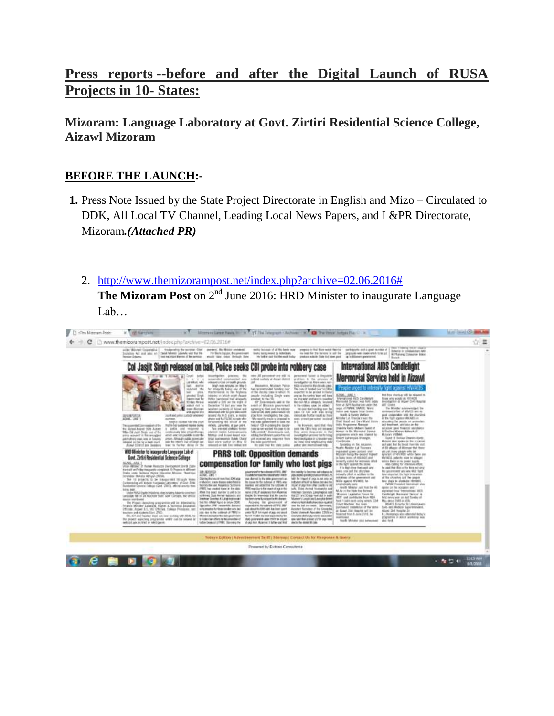# **Press reports --before and after the Digital Launch of RUSA Projects in 10- States:**

## **Mizoram: Language Laboratory at Govt. Zirtiri Residential Science College, Aizawl Mizoram**

#### **BEFORE THE LAUNCH:-**

- **1.** Press Note Issued by the State Project Directorate in English and Mizo Circulated to DDK, All Local TV Channel, Leading Local News Papers, and I &PR Directorate, Mizoram*.(Attached PR)*
	- 2. [http://www.themizorampost.net/index.php?archive=02.06.2016#](http://www.themizorampost.net/index.php?archive=02.06.2016)

**The Mizoram Post** on 2<sup>nd</sup> June 2016: HRD Minister to inaugurate Language Lab…

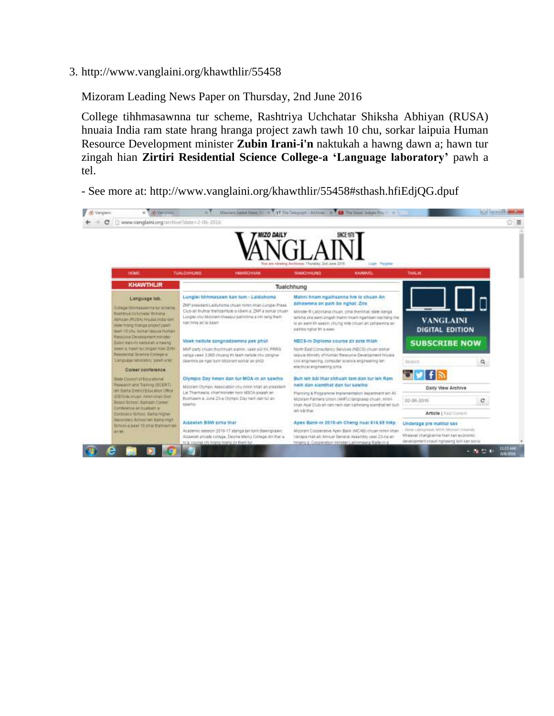3. http://www.vanglaini.org/khawthlir/55458

Mizoram Leading News Paper on Thursday, 2nd June 2016

College tihhmasawnna tur scheme, Rashtriya Uchchatar Shiksha Abhiyan (RUSA) hnuaia India ram state hrang hranga project zawh tawh 10 chu, sorkar laipuia Human Resource Development minister **Zubin Irani-i'n** naktukah a hawng dawn a; hawn tur zingah hian **Zirtiri Residential Science College-a 'Language laboratory'** pawh a tel.

- See more at: http://www.vanglaini.org/khawthlir/55458#sthash.hfiEdjQG.dpuf

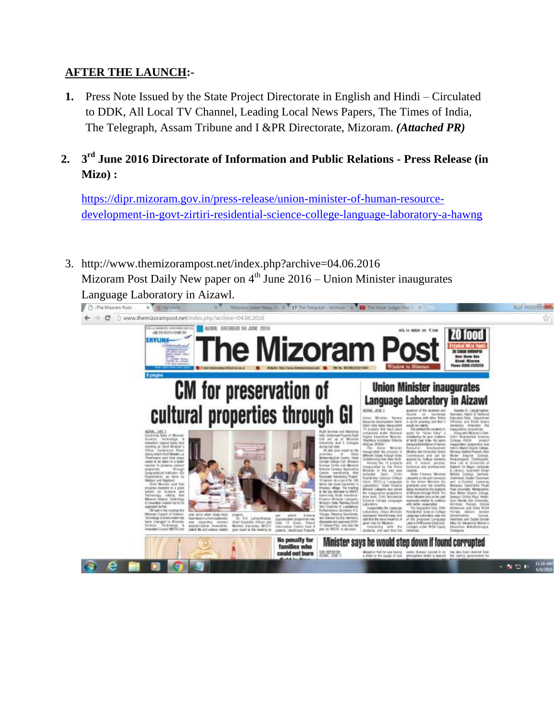#### **AFTER THE LAUNCH:-**

- **1.** Press Note Issued by the State Project Directorate in English and Hindi Circulated to DDK, All Local TV Channel, Leading Local News Papers, The Times of India, The Telegraph, Assam Tribune and I &PR Directorate, Mizoram. *(Attached PR)*
- **2. 3 rd June 2016 Directorate of Information and Public Relations - Press Release (in Mizo) :**

[https://dipr.mizoram.gov.in/press-release/union-minister-of-human-resource](https://dipr.mizoram.gov.in/press-release/union-minister-of-human-resource-development-in-govt-zirtiri-residential-science-college-language-laboratory-a-hawng)[development-in-govt-zirtiri-residential-science-college-language-laboratory-a-hawng](https://dipr.mizoram.gov.in/press-release/union-minister-of-human-resource-development-in-govt-zirtiri-residential-science-college-language-laboratory-a-hawng)

3. http://www.themizorampost.net/index.php?archive=04.06.2016 Mizoram Post Daily New paper on  $4<sup>th</sup>$  June 2016 – Union Minister inaugurates Language Laboratory in Aizawl.

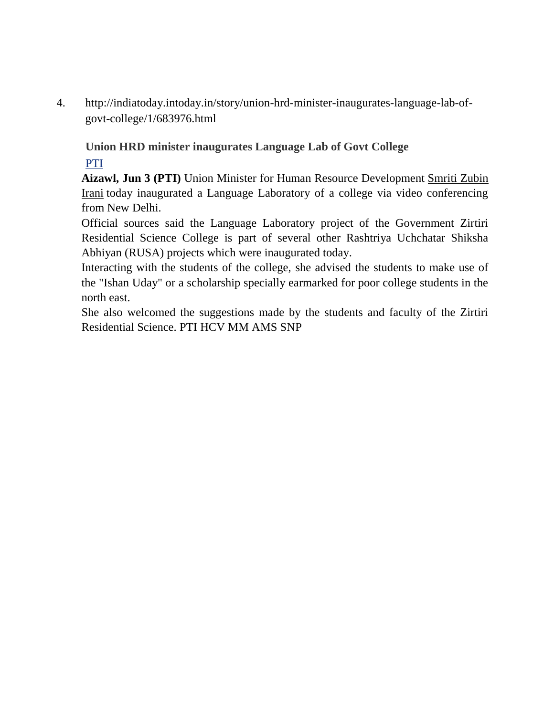4. http://indiatoday.intoday.in/story/union-hrd-minister-inaugurates-language-lab-ofgovt-college/1/683976.html

## **Union HRD minister inaugurates Language Lab of Govt College**

## [PTI](http://indiatoday.intoday.in/author/PTI/1.html)

**Aizawl, Jun 3 (PTI)** Union Minister for Human Resource Development [Smriti Zubin](http://indiatoday.intoday.in/people/smriti-zubin-irani/19453.html)  [Irani](http://indiatoday.intoday.in/people/smriti-zubin-irani/19453.html) today inaugurated a Language Laboratory of a college via video conferencing from New Delhi.

Official sources said the Language Laboratory project of the Government Zirtiri Residential Science College is part of several other Rashtriya Uchchatar Shiksha Abhiyan (RUSA) projects which were inaugurated today.

Interacting with the students of the college, she advised the students to make use of the "Ishan Uday" or a scholarship specially earmarked for poor college students in the north east.

She also welcomed the suggestions made by the students and faculty of the Zirtiri Residential Science. PTI HCV MM AMS SNP